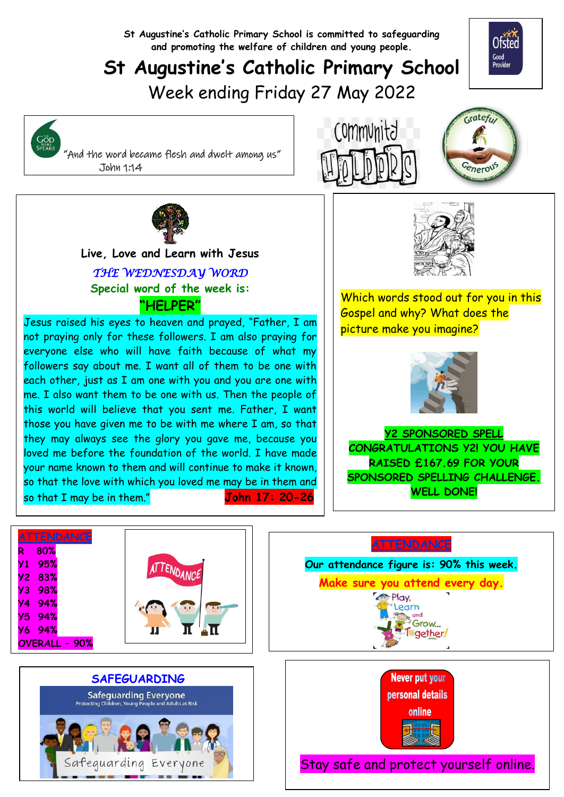**St Augustine's Catholic Primary School is committed to safeguarding and promoting the welfare of children and young people.**

## **St Augustine's Catholic Primary School**

Week ending Friday 27 May 2022



 "And the word became flesh and dwelt among us" John 1:14

GOD<br>SPEAKS







  **Live, Love and Learn with Jesus** *THE WEDNESDAY WORD*  **Special word of the week is: "HELPER"**

Jesus raised his eyes to heaven and prayed, "Father, I am not praying only for these followers. I am also praying for everyone else who will have faith because of what my followers say about me. I want all of them to be one with each other, just as I am one with you and you are one with me. I also want them to be one with us. Then the people of this world will believe that you sent me. Father, I want those you have given me to be with me where I am, so that they may always see the glory you gave me, because you loved me before the foundation of the world. I have made your name known to them and will continue to make it known, so that the love with which you loved me may be in them and so that I may be in them." **John 17: 20-26**



Which words stood out for you in this Gospel and why? What does the picture make you imagine?



**Y2 SPONSORED SPELL CONGRATULATIONS Y2! YOU HAVE RAISED £167.69 FOR YOUR SPONSORED SPELLING CHALLENGE. WELL DONE!** 

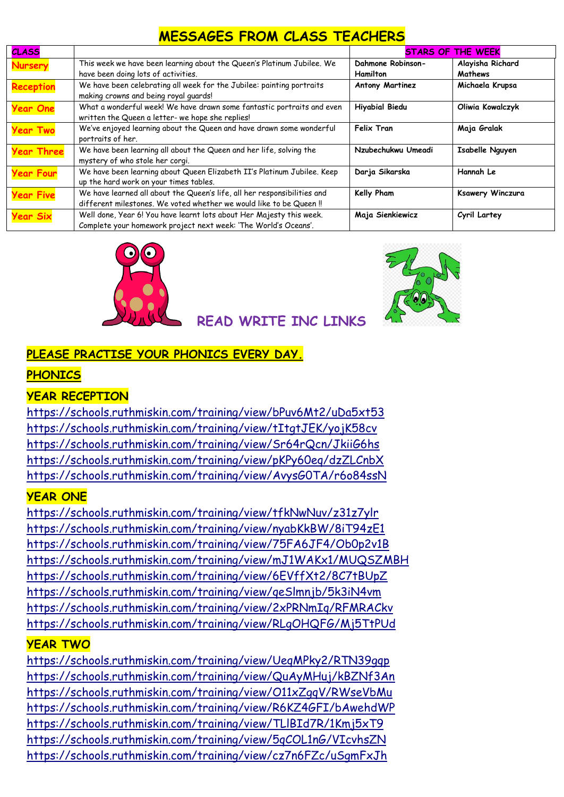## **MESSAGES FROM CLASS TEACHERS**

| <b>CLASS</b>      |                                                                          | <b>STARS OF THE WEEK</b> |                        |
|-------------------|--------------------------------------------------------------------------|--------------------------|------------------------|
| Nursery           | This week we have been learning about the Queen's Platinum Jubilee. We   | Dahmone Robinson-        | Alayisha Richard       |
|                   | have been doing lots of activities.                                      | <b>Hamilton</b>          | Mathews                |
| <b>Reception</b>  | We have been celebrating all week for the Jubilee: painting portraits    | <b>Antony Martinez</b>   | Michaela Krupsa        |
|                   | making crowns and being royal guards!                                    |                          |                        |
| <b>Year One</b>   | What a wonderful week! We have drawn some fantastic portraits and even   | <b>Hiyabial Biedu</b>    | Oliwia Kowalczyk       |
|                   | written the Queen a letter- we hope she replies!                         |                          |                        |
| <b>Year Two</b>   | We've enjoyed learning about the Queen and have drawn some wonderful     | <b>Felix Tran</b>        | Maja Gralak            |
|                   | portraits of her.                                                        |                          |                        |
| <b>Year Three</b> | We have been learning all about the Queen and her life, solving the      | Nzubechukwu Umeadi       | <b>Isabelle Nguyen</b> |
|                   | mystery of who stole her corgi.                                          |                          |                        |
| <b>Year Four</b>  | We have been learning about Queen Elizabeth II's Platinum Jubilee. Keep  | Darja Sikarska           | Hannah Le              |
|                   | up the hard work on your times tables.                                   |                          |                        |
| <b>Year Five</b>  | We have learned all about the Queen's life, all her responsibilities and | Kelly Pham               | Ksawery Winczura       |
|                   | different milestones. We voted whether we would like to be Queen !!      |                          |                        |
| <b>Year Six</b>   | Well done, Year 6! You have learnt lots about Her Majesty this week.     | Maja Sienkiewicz         | Cyril Lartey           |
|                   | Complete your homework project next week: 'The World's Oceans'.          |                          |                        |





### **READ WRITE INC LINKS**

#### **PLEASE PRACTISE YOUR PHONICS EVERY DAY.**

#### **PHONICS**

#### **YEAR RECEPTION**

<https://schools.ruthmiskin.com/training/view/bPuv6Mt2/uDa5xt53> <https://schools.ruthmiskin.com/training/view/tItgtJEK/yojK58cv> <https://schools.ruthmiskin.com/training/view/Sr64rQcn/JkiiG6hs> <https://schools.ruthmiskin.com/training/view/pKPy60eq/dzZLCnbX> <https://schools.ruthmiskin.com/training/view/AvysG0TA/r6o84ssN>

#### **YEAR ONE**

<https://schools.ruthmiskin.com/training/view/tfkNwNuv/z31z7ylr> <https://schools.ruthmiskin.com/training/view/nyabKkBW/8iT94zE1> <https://schools.ruthmiskin.com/training/view/75FA6JF4/Ob0p2v1B> <https://schools.ruthmiskin.com/training/view/mJ1WAKx1/MUQSZMBH> <https://schools.ruthmiskin.com/training/view/6EVffXt2/8C7tBUpZ> <https://schools.ruthmiskin.com/training/view/qeSlmnjb/5k3iN4vm> <https://schools.ruthmiskin.com/training/view/2xPRNmIq/RFMRACkv> <https://schools.ruthmiskin.com/training/view/RLgOHQFG/Mj5TtPUd>

#### **YEAR TWO**

<https://schools.ruthmiskin.com/training/view/UeqMPky2/RTN39gqp> <https://schools.ruthmiskin.com/training/view/QuAyMHuj/kBZNf3An> <https://schools.ruthmiskin.com/training/view/O11xZgqV/RWseVbMu> <https://schools.ruthmiskin.com/training/view/R6KZ4GFI/bAwehdWP> <https://schools.ruthmiskin.com/training/view/TLlBId7R/1Kmj5xT9> <https://schools.ruthmiskin.com/training/view/5qCOL1nG/VIcvhsZN> <https://schools.ruthmiskin.com/training/view/cz7n6FZc/uSgmFxJh>